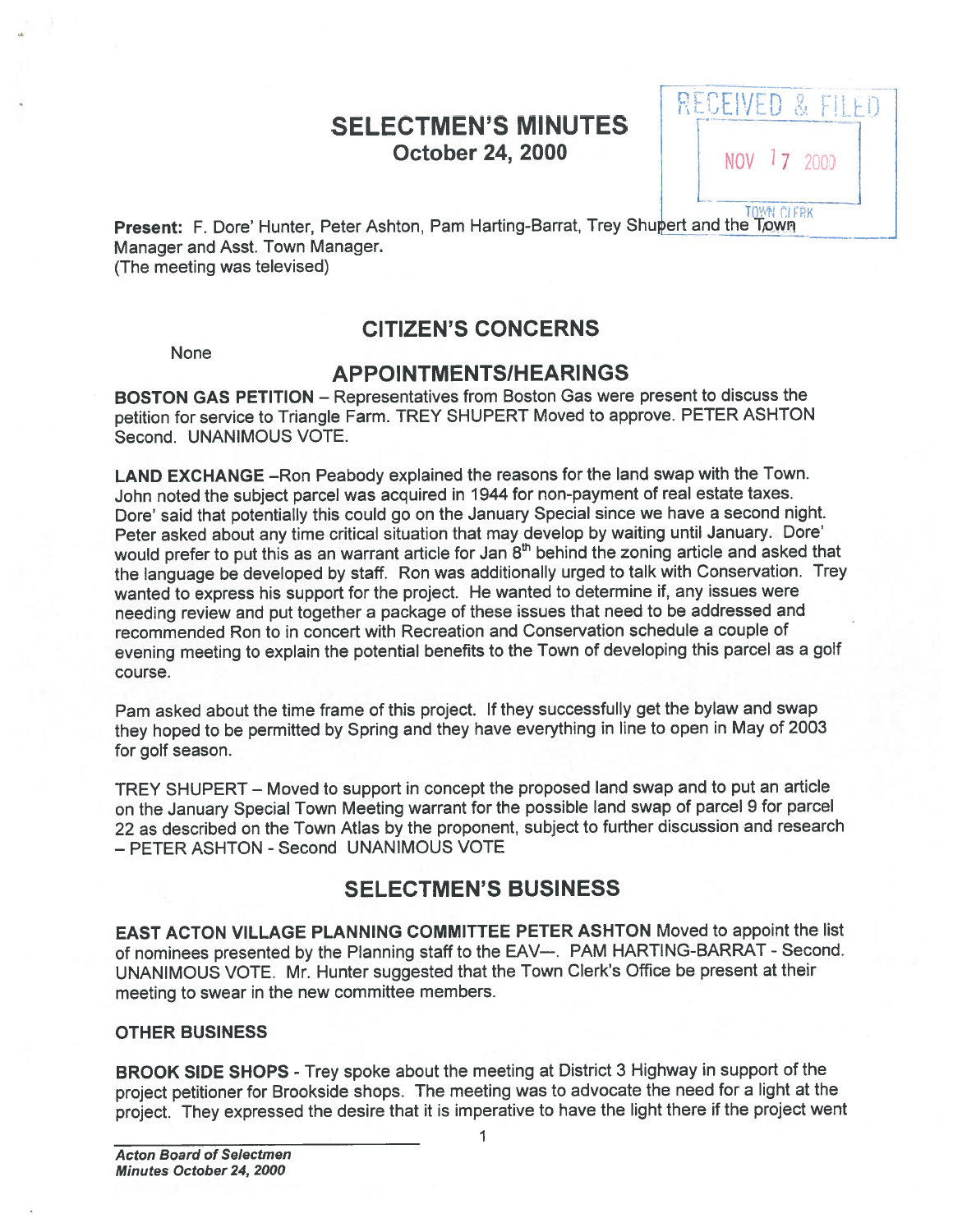# SELECTMEN'S MINUTES **October 24, 2000** NOV 17 2000

RECEIVE  $L_{\frac{1}{10}}$ 

P**resent:** F. Dore' Hunter, Peter Ashton, Pam Harting-Barrat, Trey Shupert and the Town Manager and Asst. Town Manager.

(The meeting was televised)

# CITIZEN'S CONCERNS

**None** 

## APPOINTMENTSIHEARINGS

BOSTON GAS PETITION — Representatives from Boston Gas were presen<sup>t</sup> to discuss the petition for service to Triangle Farm. TREY SHUPERT Moved to approve. PETER ASHTON Second. UNANIMOUS VOTE.

LAND EXCHANGE —Ron Peabody explained the reasons for the land swap with the Town. John noted the subject parce<sup>l</sup> was acquired in <sup>1944</sup> for non-paymen<sup>t</sup> of real estate taxes. Dore' said that potentially this could go on the January Special since we have <sup>a</sup> second night. Peter asked about any time critical situation that may develop by waiting until January. Dote' would prefer to put this as an warrant article for Jan 8<sup>th</sup> behind the zoning article and asked that the language be developed by staff. Ron was additionally urge<sup>d</sup> to talk with Conservation. Trey wanted to express his suppor<sup>t</sup> for the project. He wanted to determine if, any issues were needing review and pu<sup>t</sup> together <sup>a</sup> package of these issues that need to be addressed and recommended Ron to in concert with Recreation and Conservation schedule <sup>a</sup> couple of evening meeting to explain the potential benefits to the Town of developing this parce<sup>l</sup> as <sup>a</sup> golf course.

Pam asked about the time frame of this project. If they successfully ge<sup>t</sup> the bylaw and swap they hoped to be permitted by Spring and they have everything in line to open in May of <sup>2003</sup> for golf season.

TREY SHUPERT — Moved to suppor<sup>t</sup> in concep<sup>t</sup> the propose<sup>d</sup> land swap and to pu<sup>t</sup> an article on the January Special Town Meeting warrant for the possible land swap of parce<sup>l</sup> <sup>9</sup> for parce<sup>l</sup> <sup>22</sup> as described on the Town Atlas by the proponent, subject to further discussion and research - PETER ASHTON - Second UNANIMOUS VOTE

# SELECTMEN'S BUSINESS

EAST ACTON VILLAGE PLANNING COMMITTEE PETER ASHTON Moved to appoint the list of nominees presented by the Planning staff to the EAV—. PAM HARTING-BARRAT - Second. UNANIMOUS VOTE. Mr. Hunter suggested that the Town Clerk's Office be presen<sup>t</sup> at their meeting to swear in the new committee members.

#### OTHER BUSINESS

BROOK SIDE SHOPS - Trey spoke about the meeting at District 3 Highway in support of the project petitioner for Brookside shops. The meeting was to advocate the need for <sup>a</sup> light at the project. They expresse<sup>d</sup> the desire that it is imperative to have the light there if the project went

1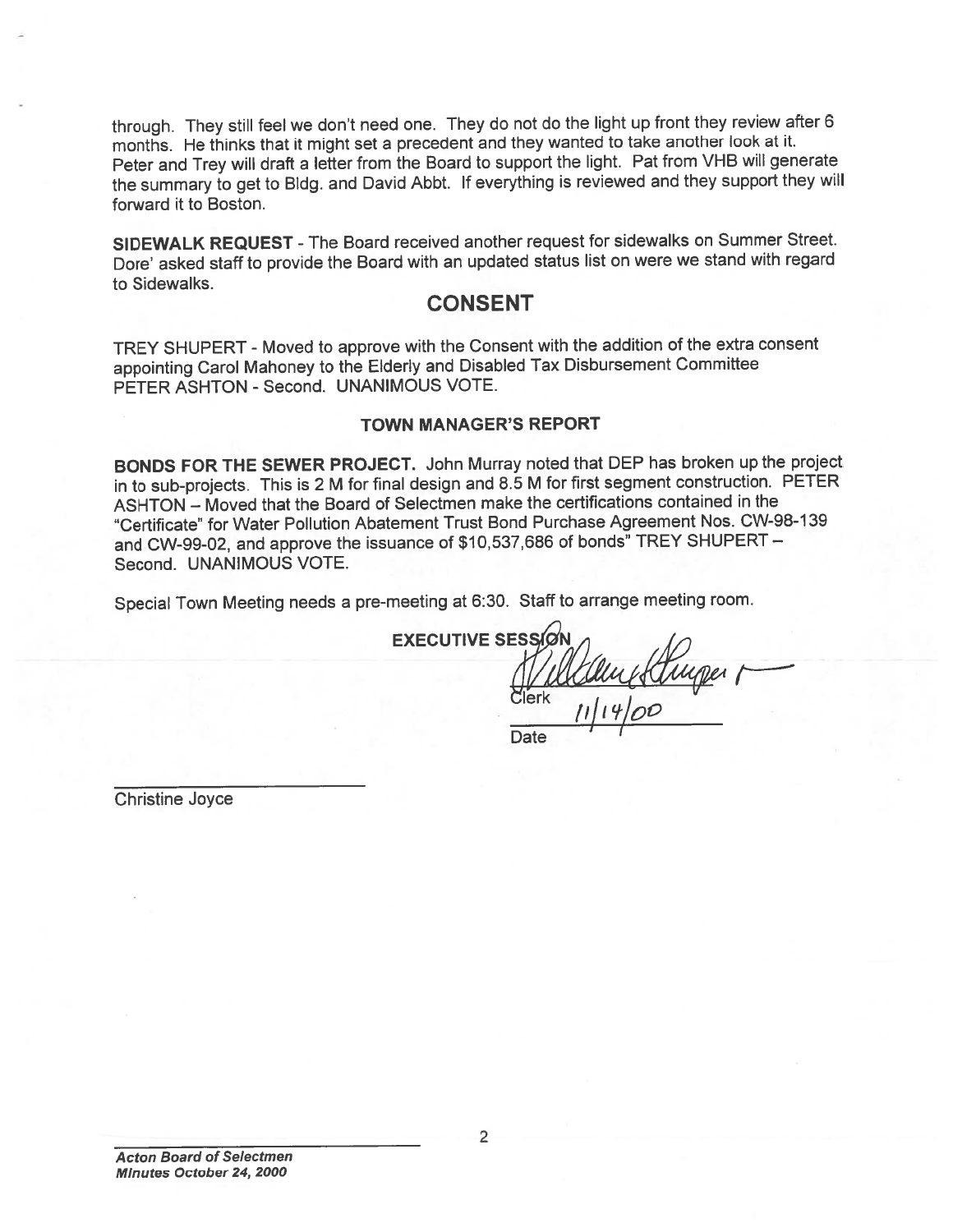through. They still feel we don't need one. They do not do the light up front they review after 6 months. He thinks that it might set <sup>a</sup> precedent and they wanted to take another look at it. Peter and Trey will draft <sup>a</sup> letter from the Board to suppor<sup>t</sup> the light. Pat from VHB will generate the summary to ge<sup>t</sup> to Bldg. and David Abbt. If everything is reviewed and they suppor<sup>t</sup> they will forward it to Boston.

SIDEWALK REQUEST - The Board received another request for sidewalks on Summer Street. Dore' asked staff to provide the Board with an updated status list on were we stand with regar<sup>d</sup> to Sidewalks.

### CONSENT

TREY SHUPERT -Moved to approve with the Consent with the addition of the extra consent appointing Carol Mahoney to the Elderly and Disabled Tax Disbursement Committee PETER ASHTON - Second. UNANIMOUS VOTE.

#### TOWN MANAGER'S REPORT

BONDS FOR THE SEWER PROJECT. John Murray noted that DEP has broken up the project in to sub-projects. This is <sup>2</sup> <sup>M</sup> for final design and 8.5 <sup>M</sup> for first segmen<sup>t</sup> construction. PETER ASHTON — Moved that the Board of Selectmen make the certifications contained in the "Certificate" for Water Pollution Abatement Trust Bond Purchase Agreement Nos. CW-98-1 39 and CW-99-02, and approve the issuance of \$10,537,686 of bonds" TREY SHUPERT — Second. UNANIMOUS VOTE.

Special Town Meeting needs <sup>a</sup> pre-meeting at 6:30. Staff to arrange meeting room.

**EXECUTIVE SESS**  $11|14|00$ 

Date

Christine Joyce

2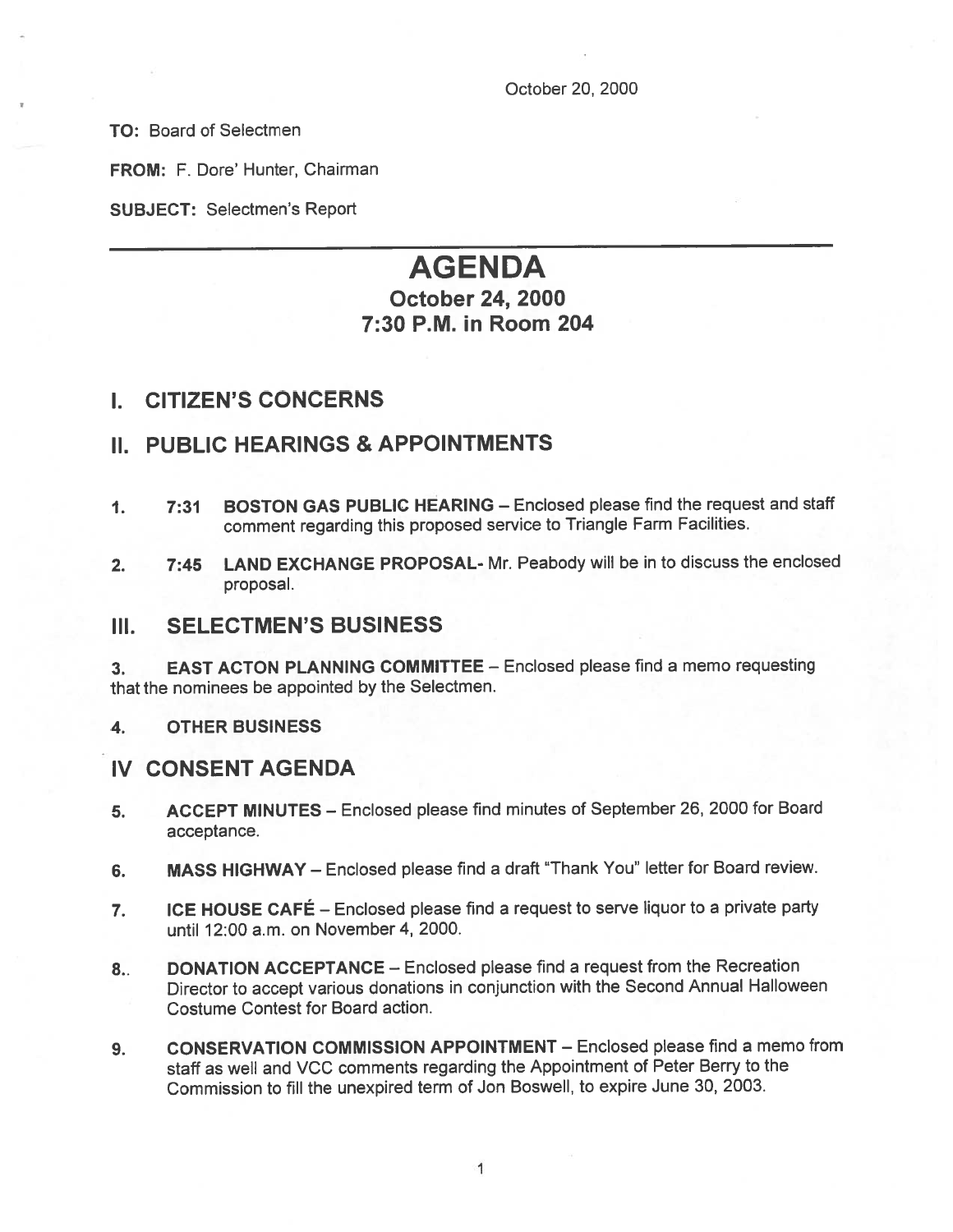TO: Board of Selectmen

FROM: F. Dore' Hunter, Chairman

SUBJECT: Selectmen's Report

# AGENDA

# October 24, 2000 7:30 P.M. in Room 204

## I. CITIZEN'S CONCERNS

# II. PUBLIC HEARINGS & APPOINTMENTS

- 1. 7:31 BOSTON GAS PUBLIC HEARING Enclosed <sup>p</sup>lease find the reques<sup>t</sup> and staff comment regarding this propose<sup>d</sup> service to Triangle Farm Facilities.
- 2. 7:45 LAND EXCHANGE PROPOSAL- Mr. Peabody will be in to discuss the enclosed proposal.

## III. SELECTMEN'S BUSINESS

3. EAST ACTON PLANNING COMMITTEE — Enclosed please find <sup>a</sup> memo requesting that the nominees be appointed by the Selectmen.

4. OTHER BUSINESS

## IV CONSENT AGENDA

- 5. ACCEPT MINUTES Enclosed <sup>p</sup>lease find minutes of September 26, <sup>2000</sup> for Board acceptance.
- 6. MASS HIGHWAY Enclosed <sup>p</sup>lease find <sup>a</sup> draft 'Thank You" letter for Board review.
- 7. ICE HOUSE CAFÉ Enclosed <sup>p</sup>lease find <sup>a</sup> reques<sup>t</sup> to serve liquor to <sup>a</sup> private party until 12:00 a.m. on November 4, 2000.
- 8.. DONATION ACCEPTANCE Enclosed please find a request from the Recreation Director to accep<sup>t</sup> various donations in conjunction with the Second Annual Halloween Costume Contest for Board action.
- 9. CONSERVATION COMMISSION APPOINTMENT Enclosed please find a memo from staff as well and VCC comments regarding the Appointment of Peter Berry to the Commission to fill the unexpired term of Jon Boswell, to expire June 30, 2003.